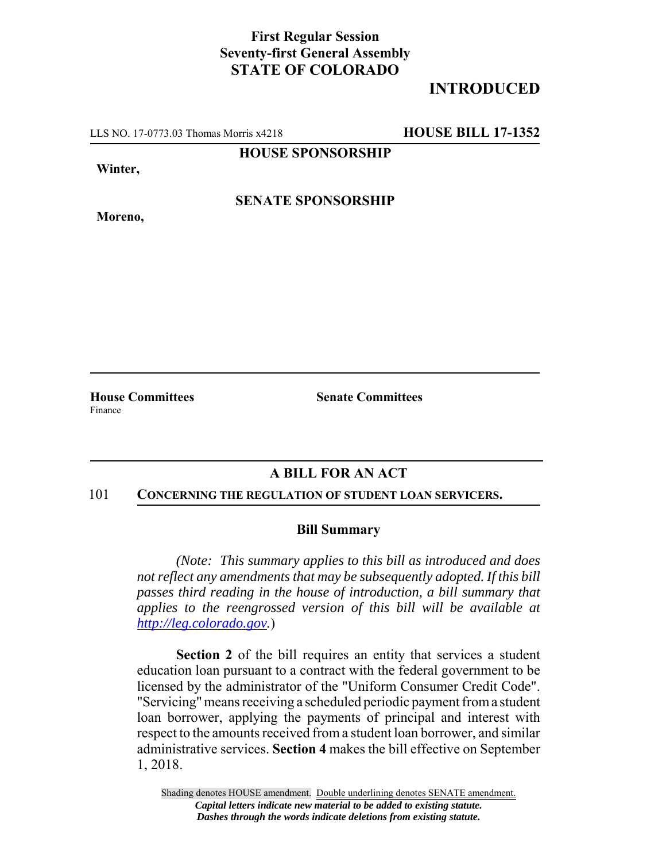## **First Regular Session Seventy-first General Assembly STATE OF COLORADO**

# **INTRODUCED**

LLS NO. 17-0773.03 Thomas Morris x4218 **HOUSE BILL 17-1352**

**HOUSE SPONSORSHIP**

**Winter,**

**Moreno,**

**SENATE SPONSORSHIP**

Finance

**House Committees Senate Committees** 

## **A BILL FOR AN ACT**

#### 101 **CONCERNING THE REGULATION OF STUDENT LOAN SERVICERS.**

### **Bill Summary**

*(Note: This summary applies to this bill as introduced and does not reflect any amendments that may be subsequently adopted. If this bill passes third reading in the house of introduction, a bill summary that applies to the reengrossed version of this bill will be available at http://leg.colorado.gov.*)

**Section 2** of the bill requires an entity that services a student education loan pursuant to a contract with the federal government to be licensed by the administrator of the "Uniform Consumer Credit Code". "Servicing" means receiving a scheduled periodic payment from a student loan borrower, applying the payments of principal and interest with respect to the amounts received from a student loan borrower, and similar administrative services. **Section 4** makes the bill effective on September 1, 2018.

Shading denotes HOUSE amendment. Double underlining denotes SENATE amendment. *Capital letters indicate new material to be added to existing statute. Dashes through the words indicate deletions from existing statute.*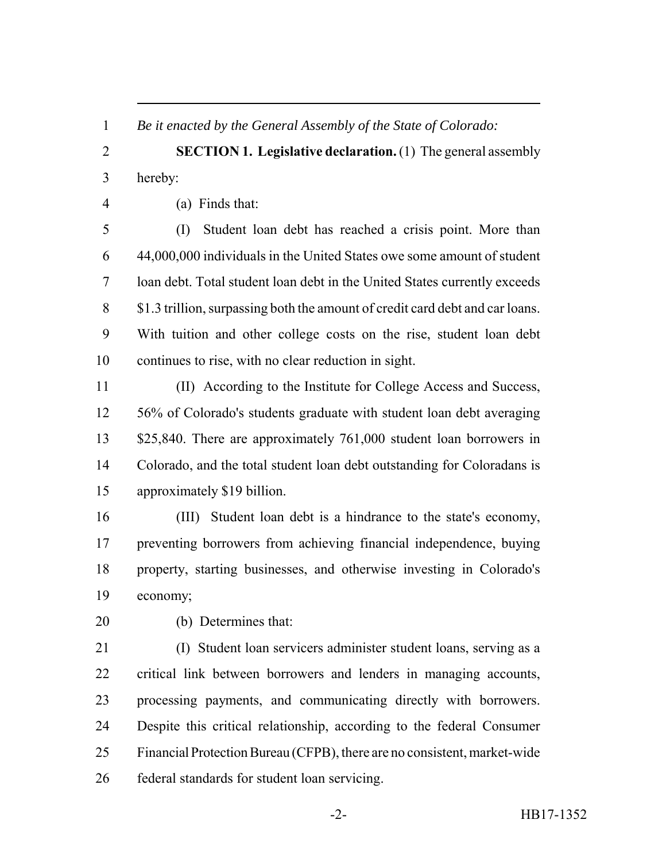*Be it enacted by the General Assembly of the State of Colorado:*

 **SECTION 1. Legislative declaration.** (1) The general assembly hereby:

(a) Finds that:

 (I) Student loan debt has reached a crisis point. More than 44,000,000 individuals in the United States owe some amount of student loan debt. Total student loan debt in the United States currently exceeds \$1.3 trillion, surpassing both the amount of credit card debt and car loans. With tuition and other college costs on the rise, student loan debt continues to rise, with no clear reduction in sight.

 (II) According to the Institute for College Access and Success, 56% of Colorado's students graduate with student loan debt averaging 13 \$25,840. There are approximately 761,000 student loan borrowers in Colorado, and the total student loan debt outstanding for Coloradans is approximately \$19 billion.

 (III) Student loan debt is a hindrance to the state's economy, preventing borrowers from achieving financial independence, buying property, starting businesses, and otherwise investing in Colorado's economy;

(b) Determines that:

 (I) Student loan servicers administer student loans, serving as a critical link between borrowers and lenders in managing accounts, processing payments, and communicating directly with borrowers. Despite this critical relationship, according to the federal Consumer Financial Protection Bureau (CFPB), there are no consistent, market-wide federal standards for student loan servicing.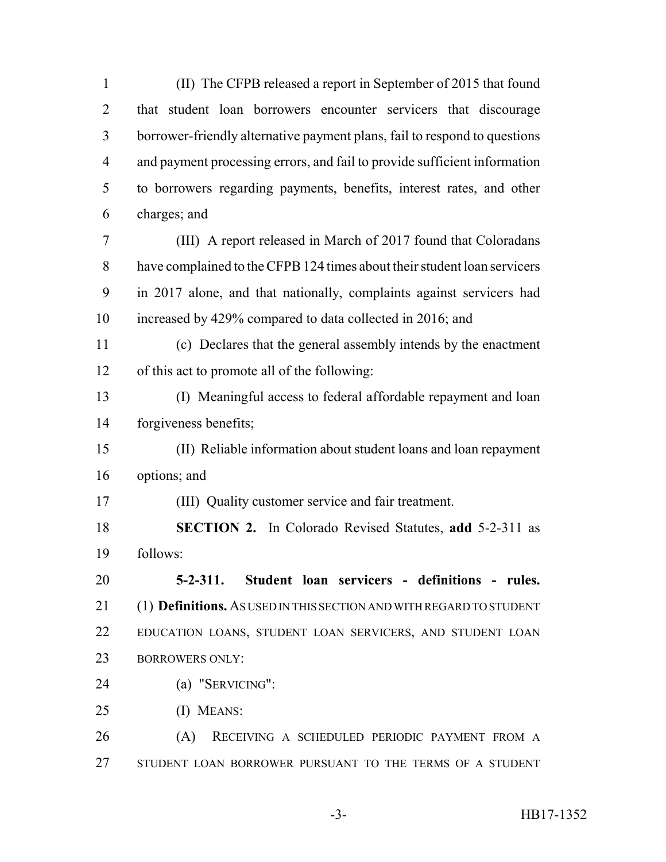(II) The CFPB released a report in September of 2015 that found that student loan borrowers encounter servicers that discourage borrower-friendly alternative payment plans, fail to respond to questions and payment processing errors, and fail to provide sufficient information to borrowers regarding payments, benefits, interest rates, and other charges; and

 (III) A report released in March of 2017 found that Coloradans have complained to the CFPB 124 times about their student loan servicers in 2017 alone, and that nationally, complaints against servicers had increased by 429% compared to data collected in 2016; and

 (c) Declares that the general assembly intends by the enactment of this act to promote all of the following:

 (I) Meaningful access to federal affordable repayment and loan forgiveness benefits;

 (II) Reliable information about student loans and loan repayment options; and

(III) Quality customer service and fair treatment.

 **SECTION 2.** In Colorado Revised Statutes, **add** 5-2-311 as follows:

 **5-2-311. Student loan servicers - definitions - rules.** (1) **Definitions.** AS USED IN THIS SECTION AND WITH REGARD TO STUDENT EDUCATION LOANS, STUDENT LOAN SERVICERS, AND STUDENT LOAN 23 BORROWERS ONLY:

(a) "SERVICING":

(I) MEANS:

 (A) RECEIVING A SCHEDULED PERIODIC PAYMENT FROM A STUDENT LOAN BORROWER PURSUANT TO THE TERMS OF A STUDENT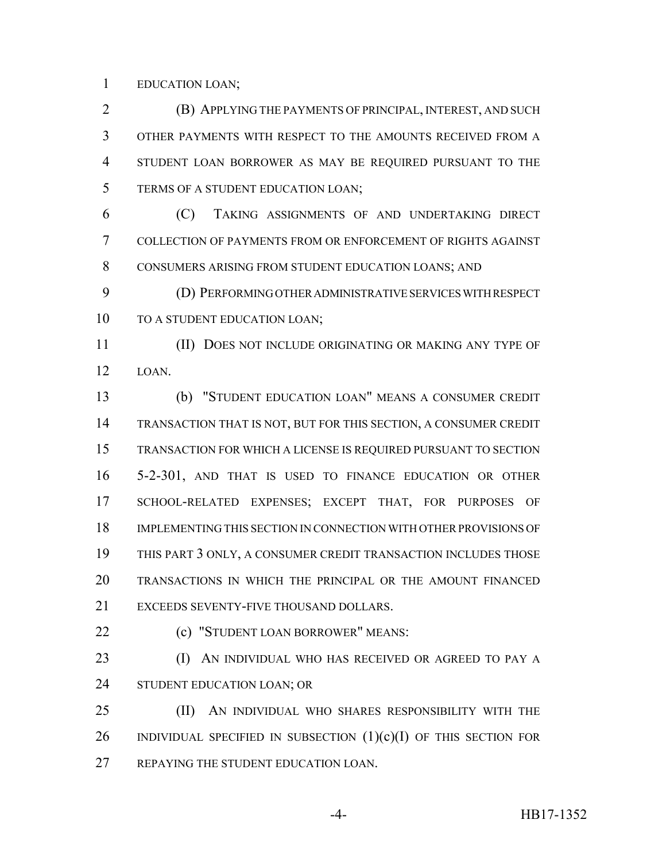EDUCATION LOAN;

 (B) APPLYING THE PAYMENTS OF PRINCIPAL, INTEREST, AND SUCH OTHER PAYMENTS WITH RESPECT TO THE AMOUNTS RECEIVED FROM A STUDENT LOAN BORROWER AS MAY BE REQUIRED PURSUANT TO THE TERMS OF A STUDENT EDUCATION LOAN;

 (C) TAKING ASSIGNMENTS OF AND UNDERTAKING DIRECT COLLECTION OF PAYMENTS FROM OR ENFORCEMENT OF RIGHTS AGAINST CONSUMERS ARISING FROM STUDENT EDUCATION LOANS; AND

 (D) PERFORMING OTHER ADMINISTRATIVE SERVICES WITH RESPECT 10 TO A STUDENT EDUCATION LOAN;

 (II) DOES NOT INCLUDE ORIGINATING OR MAKING ANY TYPE OF LOAN.

 (b) "STUDENT EDUCATION LOAN" MEANS A CONSUMER CREDIT TRANSACTION THAT IS NOT, BUT FOR THIS SECTION, A CONSUMER CREDIT TRANSACTION FOR WHICH A LICENSE IS REQUIRED PURSUANT TO SECTION 5-2-301, AND THAT IS USED TO FINANCE EDUCATION OR OTHER SCHOOL-RELATED EXPENSES; EXCEPT THAT, FOR PURPOSES OF IMPLEMENTING THIS SECTION IN CONNECTION WITH OTHER PROVISIONS OF THIS PART 3 ONLY, A CONSUMER CREDIT TRANSACTION INCLUDES THOSE TRANSACTIONS IN WHICH THE PRINCIPAL OR THE AMOUNT FINANCED EXCEEDS SEVENTY-FIVE THOUSAND DOLLARS.

**(c) "STUDENT LOAN BORROWER" MEANS:** 

**(I)** AN INDIVIDUAL WHO HAS RECEIVED OR AGREED TO PAY A STUDENT EDUCATION LOAN; OR

 (II) AN INDIVIDUAL WHO SHARES RESPONSIBILITY WITH THE 26 INDIVIDUAL SPECIFIED IN SUBSECTION  $(1)(c)(I)$  of this section for REPAYING THE STUDENT EDUCATION LOAN.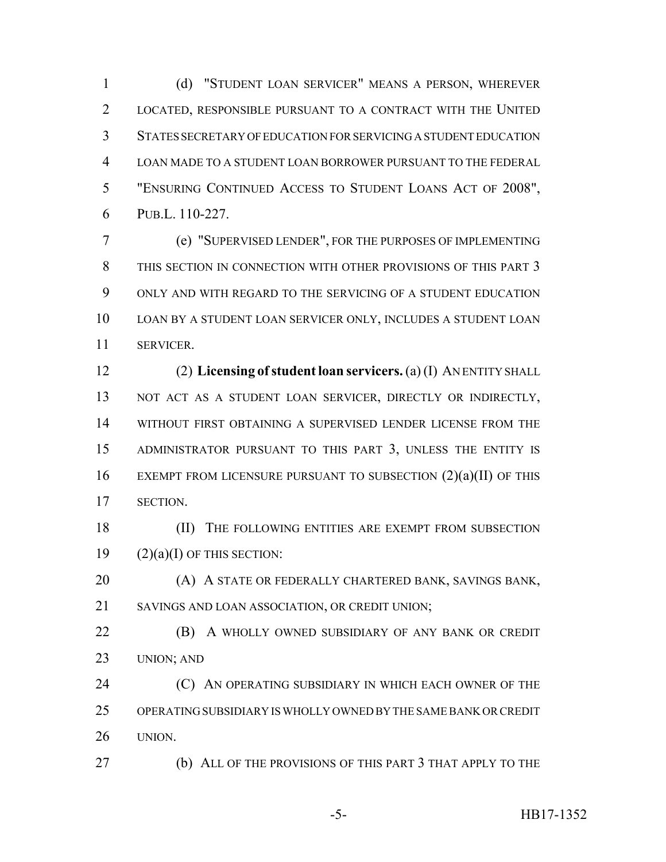(d) "STUDENT LOAN SERVICER" MEANS A PERSON, WHEREVER LOCATED, RESPONSIBLE PURSUANT TO A CONTRACT WITH THE UNITED STATES SECRETARY OF EDUCATION FOR SERVICING A STUDENT EDUCATION LOAN MADE TO A STUDENT LOAN BORROWER PURSUANT TO THE FEDERAL "ENSURING CONTINUED ACCESS TO STUDENT LOANS ACT OF 2008", PUB.L. 110-227.

 (e) "SUPERVISED LENDER", FOR THE PURPOSES OF IMPLEMENTING THIS SECTION IN CONNECTION WITH OTHER PROVISIONS OF THIS PART 3 ONLY AND WITH REGARD TO THE SERVICING OF A STUDENT EDUCATION LOAN BY A STUDENT LOAN SERVICER ONLY, INCLUDES A STUDENT LOAN SERVICER.

 (2) **Licensing of student loan servicers.** (a) (I) AN ENTITY SHALL 13 NOT ACT AS A STUDENT LOAN SERVICER, DIRECTLY OR INDIRECTLY, WITHOUT FIRST OBTAINING A SUPERVISED LENDER LICENSE FROM THE ADMINISTRATOR PURSUANT TO THIS PART 3, UNLESS THE ENTITY IS 16 EXEMPT FROM LICENSURE PURSUANT TO SUBSECTION  $(2)(a)(II)$  OF THIS SECTION.

18 (II) THE FOLLOWING ENTITIES ARE EXEMPT FROM SUBSECTION 19  $(2)(a)(I)$  OF THIS SECTION:

 (A) A STATE OR FEDERALLY CHARTERED BANK, SAVINGS BANK, SAVINGS AND LOAN ASSOCIATION, OR CREDIT UNION;

**(B)** A WHOLLY OWNED SUBSIDIARY OF ANY BANK OR CREDIT UNION; AND

**(C)** AN OPERATING SUBSIDIARY IN WHICH EACH OWNER OF THE OPERATING SUBSIDIARY IS WHOLLY OWNED BY THE SAME BANK OR CREDIT UNION.

(b) ALL OF THE PROVISIONS OF THIS PART 3 THAT APPLY TO THE